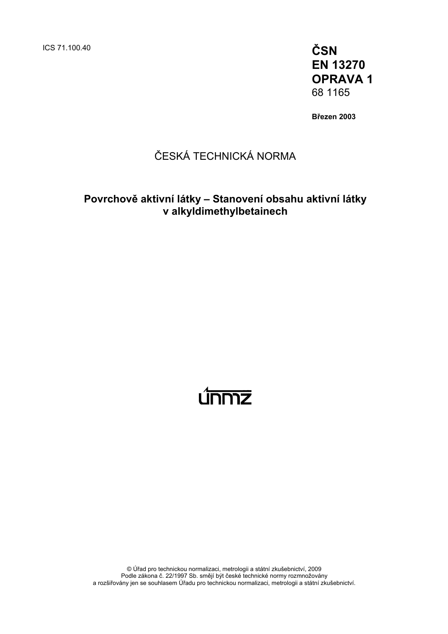ICS 71.100.40 **ČSN** 

**EN 13270 OPRAVA 1**  68 1165

**Březen 2003** 

## ČESKÁ TECHNICKÁ NORMA

### **Povrchově aktivní látky – Stanovení obsahu aktivní látky v alkyldimethylbetainech**

# <u>únmz</u>

© Úřad pro technickou normalizaci, metrologii a státní zkušebnictví, 2009 Podle zákona č. 22/1997 Sb. smějí být české technické normy rozmnožovány a rozšiřovány jen se souhlasem Úřadu pro technickou normalizaci, metrologii a státní zkušebnictví.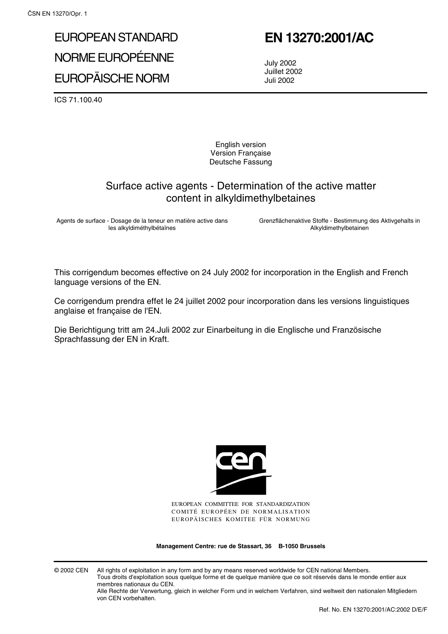# EUROPEAN STANDARD NORME EUROPÉENNE EUROPÄISCHE NORM

# **EN 13270:2001/AC**

July 2002 Juillet 2002 Juli 2002

ICS 71.100.40

English version Version Française Deutsche Fassung

#### Surface active agents - Determination of the active matter content in alkyldimethylbetaines

Agents de surface - Dosage de la teneur en matière active dans les alkyldiméthylbétaïnes

Grenzflächenaktive Stoffe - Bestimmung des Aktivgehalts in Alkyldimethylbetainen

This corrigendum becomes effective on 24 July 2002 for incorporation in the English and French language versions of the EN.

Ce corrigendum prendra effet le 24 juillet 2002 pour incorporation dans les versions linguistiques anglaise et française de l'EN.

Die Berichtigung tritt am 24.Juli 2002 zur Einarbeitung in die Englische und Französische Sprachfassung der EN in Kraft.



EUROPEAN COMMITTEE FOR STANDARDIZATION COMITÉ EUROPÉEN DE NORMALISATION EUROPÄISCHES KOMITEE FÜR NORMUNG

**Management Centre: rue de Stassart, 36 B-1050 Brussels**

© 2002 CEN All rights of exploitation in any form and by any means reserved worldwide for CEN national Members. Tous droits d'exploitation sous quelque forme et de quelque manière que ce soit réservés dans le monde entier aux membres nationaux du CEN.

Alle Rechte der Verwertung, gleich in welcher Form und in welchem Verfahren, sind weltweit den nationalen Mitgliedern von CEN vorbehalten.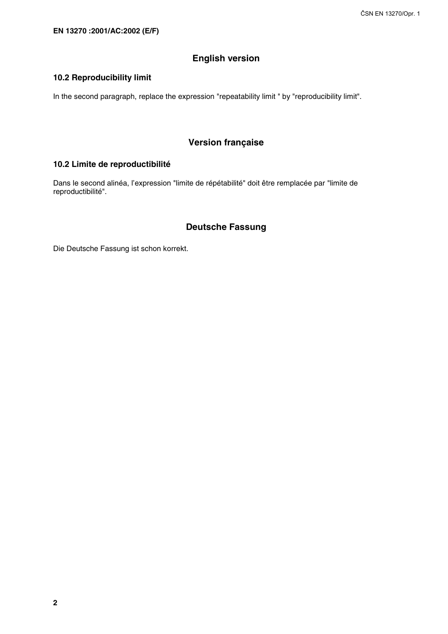#### **English version**

#### **10.2 Reproducibility limit**

In the second paragraph, replace the expression "repeatability limit " by "reproducibility limit".

#### **Version française**

#### **10.2 Limite de reproductibilité**

Dans le second alinéa, l'expression "limite de répétabilité" doit être remplacée par "limite de reproductibilité".

#### **Deutsche Fassung**

Die Deutsche Fassung ist schon korrekt.